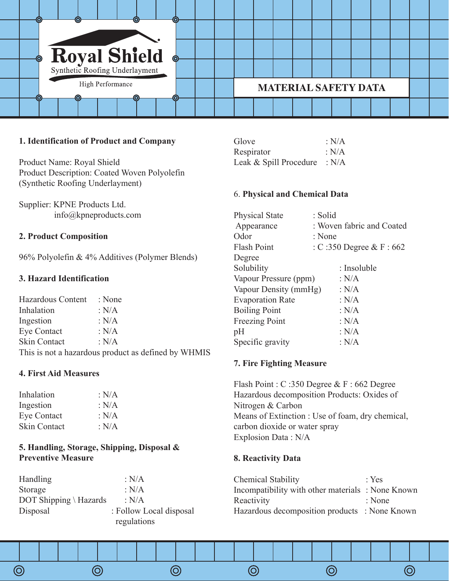

## **1. Identification of Product and Company**

Product Name: Royal Shield Product Description: Coated Woven Polyolefin (Synthetic Roofing Underlayment)

Supplier: KPNE Products Ltd. info@kpneproducts.com

## **2. Product Composition**

96% Polyolefin & 4% Additives (Polymer Blends)

## **3. Hazard Identification**

| Hazardous Content   | : None                                              |
|---------------------|-----------------------------------------------------|
| Inhalation          | : $N/A$                                             |
| Ingestion           | : $N/A$                                             |
| Eye Contact         | : $N/A$                                             |
| <b>Skin Contact</b> | : $N/A$                                             |
|                     | This is not a hazardous product as defined by WHMIS |

#### **4. First Aid Measures**

| Inhalation          | : N/A |
|---------------------|-------|
| Ingestion           | : N/A |
| Eye Contact         | : N/A |
| <b>Skin Contact</b> | : N/A |

## **5. Handling, Storage, Shipping, Disposal & Preventive Measure**

| <b>Handling</b>        | : N/A                   |
|------------------------|-------------------------|
| Storage                | : $N/A$                 |
| DOT Shipping \ Hazards | : $N/A$                 |
| Disposal               | : Follow Local disposal |
|                        | regulations             |

 $\circledcirc$ 

 $\circledcirc$ 

 $\circledcirc$ 

| Glove                  | : N/A |
|------------------------|-------|
| Respirator             | : N/A |
| Leak & Spill Procedure | : N/A |

#### 6. **Physical and Chemical Data**

| <b>Physical State</b>   | : Solid                   |
|-------------------------|---------------------------|
| Appearance              | : Woven fabric and Coated |
| Odor                    | : None                    |
| Flash Point             | : C:350 Degree & F:662    |
| Degree                  |                           |
| Solubility              | : Insoluble               |
| Vapour Pressure (ppm)   | : $N/A$                   |
| Vapour Density (mmHg)   | : $N/A$                   |
| <b>Evaporation Rate</b> | : $N/A$                   |
| <b>Boiling Point</b>    | : $N/A$                   |
| <b>Freezing Point</b>   | : $N/A$                   |
| pH                      | : $N/A$                   |
| Specific gravity        | : $N/A$                   |

#### **7. Fire Fighting Measure**

Flash Point : C :350 Degree & F : 662 Degree Hazardous decomposition Products: Oxides of Nitrogen & Carbon Means of Extinction : Use of foam, dry chemical, carbon dioxide or water spray Explosion Data : N/A

### **8. Reactivity Data**

 $\circledcirc$ 

| $\cdot$ Yes                                      |
|--------------------------------------------------|
| Incompatibility with other materials: None Known |
| : None                                           |
| Hazardous decomposition products : None Known    |
|                                                  |

 $\circledcirc$ 

 $\circledcirc$